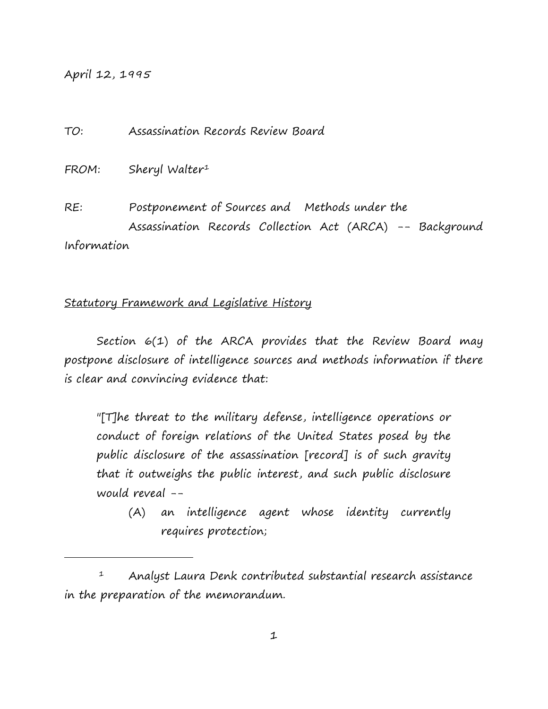April 12, 1995

i<br>I

TO: Assassination Records Review Board

FROM: Sheryl Walter<sup>[1](#page-0-0)</sup>

RE: Postponement of Sources and Methods under the Assassination Records Collection Act (ARCA) -- Background Information

### Statutory Framework and Legislative History

Section 6(1) of the ARCA provides that the Review Board may postpone disclosure of intelligence sources and methods information if there is clear and convincing evidence that:

"[T]he threat to the military defense, intelligence operations or conduct of foreign relations of the United States posed by the public disclosure of the assassination [record] is of such gravity that it outweighs the public interest, and such public disclosure would reveal --

(A) an intelligence agent whose identity currently requires protection;

<span id="page-0-0"></span> <sup>1</sup> Analyst Laura Denk contributed substantial research assistance in the preparation of the memorandum.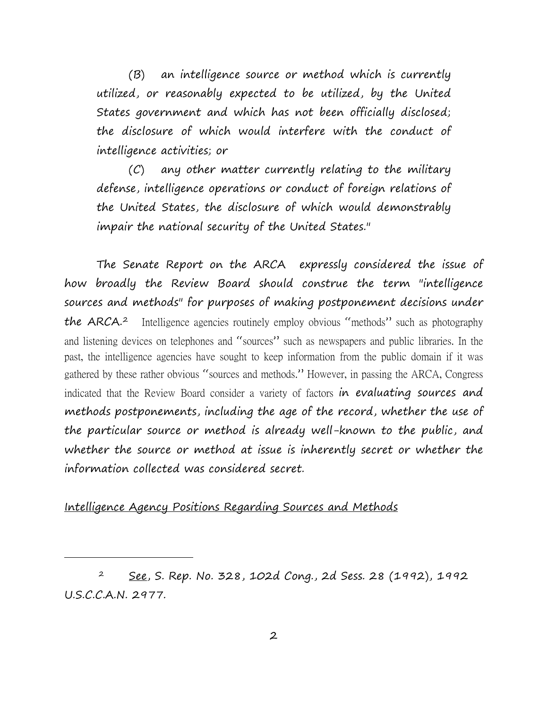(B) an intelligence source or method which is currently utilized, or reasonably expected to be utilized, by the United States government and which has not been officially disclosed; the disclosure of which would interfere with the conduct of intelligence activities; or

(C) any other matter currently relating to the military defense, intelligence operations or conduct of foreign relations of the United States, the disclosure of which would demonstrably impair the national security of the United States."

The Senate Report on the ARCA expressly considered the issue of how broadly the Review Board should construe the term "intelligence sources and methods" for purposes of making postponement decisions under the ARCA.<sup>[2](#page-1-0)</sup> Intelligence agencies routinely employ obvious "methods" such as photography and listening devices on telephones and "sources" such as newspapers and public libraries. In the past, the intelligence agencies have sought to keep information from the public domain if it was gathered by these rather obvious "sources and methods." However, in passing the ARCA, Congress indicated that the Review Board consider a variety of factors in evaluating sources and methods postponements, including the age of the record, whether the use of the particular source or method is already well-known to the public, and whether the source or method at issue is inherently secret or whether the information collected was considered secret.

## Intelligence Agency Positions Regarding Sources and Methods

i<br>I

<span id="page-1-0"></span> 2 See, S. Rep. No. 328, 102d Cong., 2d Sess. 28 (1992), 1992 U.S.C.C.A.N. 2977.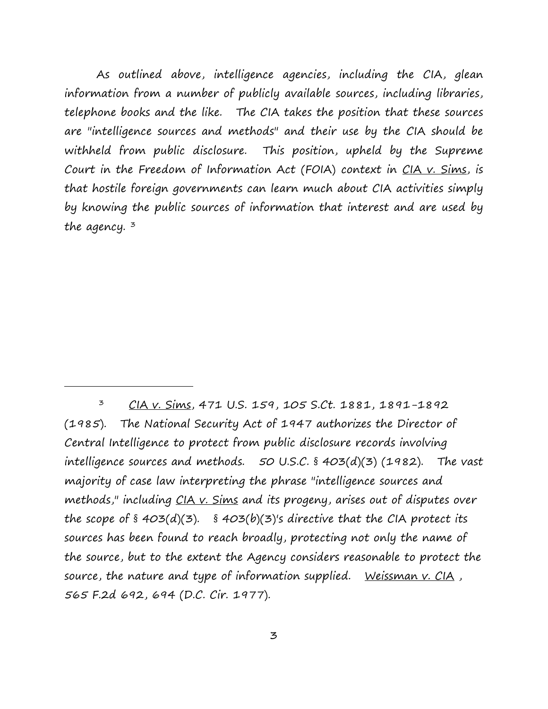As outlined above, intelligence agencies, including the CIA, glean information from a number of publicly available sources, including libraries, telephone books and the like. The CIA takes the position that these sources are "intelligence sources and methods" and their use by the CIA should be withheld from public disclosure. This position, upheld by the Supreme Court in the Freedom of Information Act (FOIA) context in CIA v. Sims, is that hostile foreign governments can learn much about CIA activities simply by knowing the public sources of information that interest and are used by the agency.  $3$ 

<span id="page-2-0"></span> <sup>3</sup> CIA v. Sims, 471 U.S. 159, 105 S.Ct. 1881, 1891-1892 (1985). The National Security Act of 1947 authorizes the Director of Central Intelligence to protect from public disclosure records involving intelligence sources and methods.  $50$  U.S.C. § 403(d)(3) (1982). The vast majority of case law interpreting the phrase "intelligence sources and methods," including CIA v. Sims and its progeny, arises out of disputes over the scope of  $\S$  403(d)(3).  $\S$  403(b)(3)'s directive that the CIA protect its sources has been found to reach broadly, protecting not only the name of the source, but to the extent the Agency considers reasonable to protect the source, the nature and type of information supplied. Weissman  $v$ . CIA, 565 F.2d 692, 694 (D.C. Cir. 1977).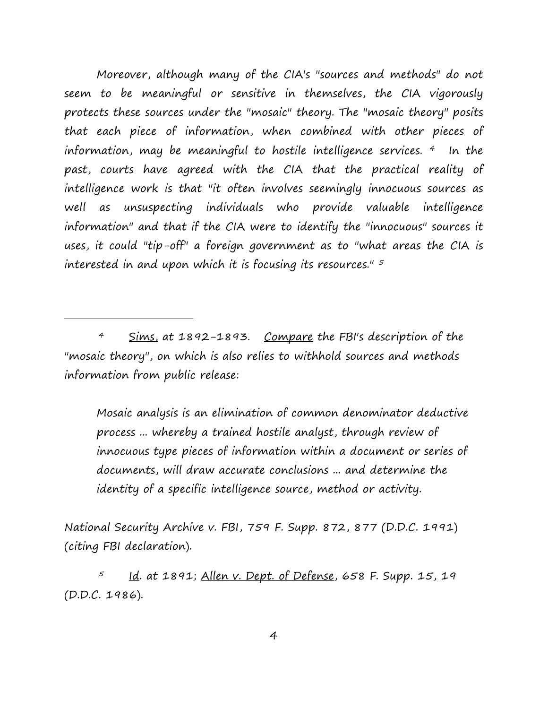Moreover, although many of the CIA's "sources and methods" do not seem to be meaningful or sensitive in themselves, the CIA vigorously protects these sources under the "mosaic" theory. The "mosaic theory" posits that each piece of information, when combined with other pieces of information, may be meaningful to hostile intelligence services. [4](#page-3-0) In the past, courts have agreed with the CIA that the practical reality of intelligence work is that "it often involves seemingly innocuous sources as well as unsuspecting individuals who provide valuable intelligence information" and that if the CIA were to identify the "innocuous" sources it uses, it could "tip-off" a foreign government as to "what areas the CIA is interested in and upon which it is focusing its resources." [5](#page-3-1)

<span id="page-3-0"></span>4 Sims, at 1892-1893. Compare the FBI's description of the "mosaic theory", on which is also relies to withhold sources and methods information from public release:

i<br>I

Mosaic analysis is an elimination of common denominator deductive process ... whereby a trained hostile analyst, through review of innocuous type pieces of information within a document or series of documents, will draw accurate conclusions ... and determine the identity of a specific intelligence source, method or activity.

National Security Archive v. FBI, 759 F. Supp. 872, 877 (D.D.C. 1991) (citing FBI declaration).

<span id="page-3-1"></span>Id. at 1891; Allen v. Dept. of Defense, 658 F. Supp. 15, 19 (D.D.C. 1986).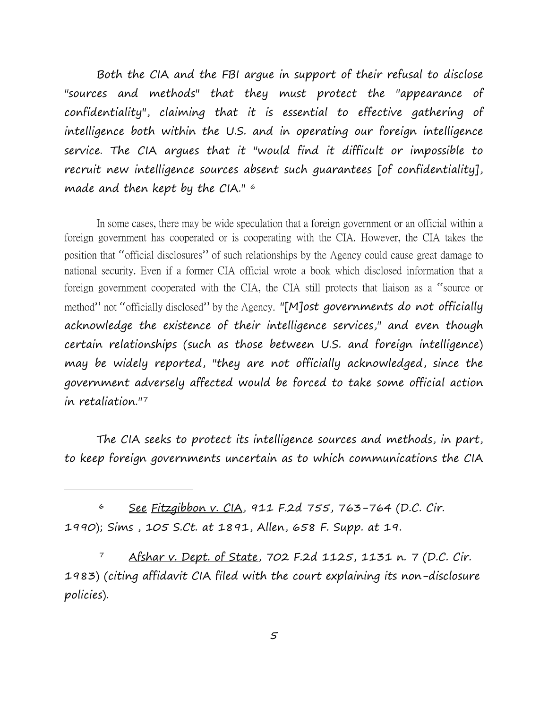Both the CIA and the FBI argue in support of their refusal to disclose "sources and methods" that they must protect the "appearance of confidentiality", claiming that it is essential to effective gathering of intelligence both within the U.S. and in operating our foreign intelligence service. The CIA argues that it "would find it difficult or impossible to recruit new intelligence sources absent such guarantees [of confidentiality], made and then kept by the CIA." [6](#page-4-0)

In some cases, there may be wide speculation that a foreign government or an official within a foreign government has cooperated or is cooperating with the CIA. However, the CIA takes the position that "official disclosures" of such relationships by the Agency could cause great damage to national security. Even if a former CIA official wrote a book which disclosed information that a foreign government cooperated with the CIA, the CIA still protects that liaison as a "source or method" not "officially disclosed" by the Agency. "[M]ost governments do not officially acknowledge the existence of their intelligence services," and even though certain relationships (such as those between U.S. and foreign intelligence) may be widely reported, "they are not officially acknowledged, since the government adversely affected would be forced to take some official action in retaliation.["7](#page-4-1)

The CIA seeks to protect its intelligence sources and methods, in part, to keep foreign governments uncertain as to which communications the CIA

<span id="page-4-0"></span> 6 See Fitzgibbon v. CIA, 911 F.2d 755, 763-764 (D.C. Cir. 1990); Sims , 105 S.Ct. at 1891, Allen, 658 F. Supp. at 19.

i<br>I

<span id="page-4-1"></span>7 Afshar v. Dept. of State, 702 F.2d 1125, 1131 n. 7 (D.C. Cir. 1983) (citing affidavit CIA filed with the court explaining its non-disclosure policies).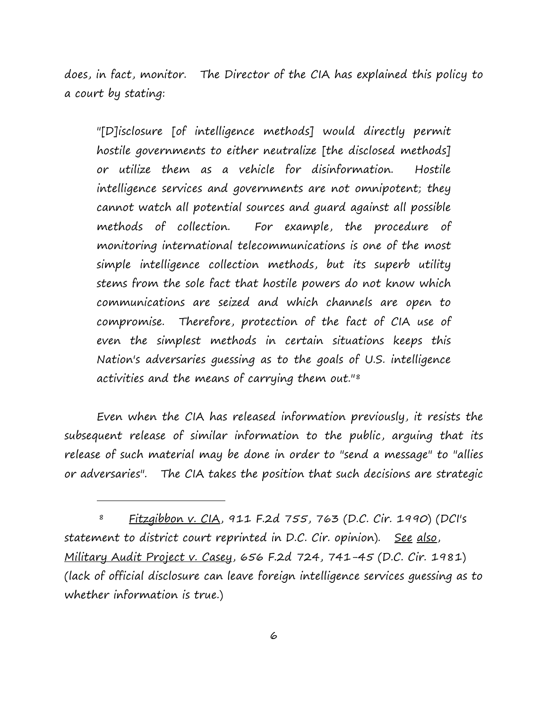does, in fact, monitor. The Director of the CIA has explained this policy to a court by stating:

"[D]isclosure [of intelligence methods] would directly permit hostile governments to either neutralize [the disclosed methods] or utilize them as a vehicle for disinformation. Hostile intelligence services and governments are not omnipotent; they cannot watch all potential sources and guard against all possible methods of collection. For example, the procedure of monitoring international telecommunications is one of the most simple intelligence collection methods, but its superb utility stems from the sole fact that hostile powers do not know which communications are seized and which channels are open to compromise. Therefore, protection of the fact of CIA use of even the simplest methods in certain situations keeps this Nation's adversaries guessing as to the goals of U.S. intelligence activities and the means of carrying them out."[8](#page-5-0)

Even when the CIA has released information previously, it resists the subsequent release of similar information to the public, arguing that its release of such material may be done in order to "send a message" to "allies or adversaries". The CIA takes the position that such decisions are strategic

<span id="page-5-0"></span> 8 Fitzgibbon v. CIA, 911 F.2d 755, 763 (D.C. Cir. 1990) (DCI's statement to district court reprinted in D.C. Cir. opinion). See also, Military Audit Project v. Casey, 656 F.2d 724, 741-45 (D.C. Cir. 1981) (lack of official disclosure can leave foreign intelligence services guessing as to whether information is true.)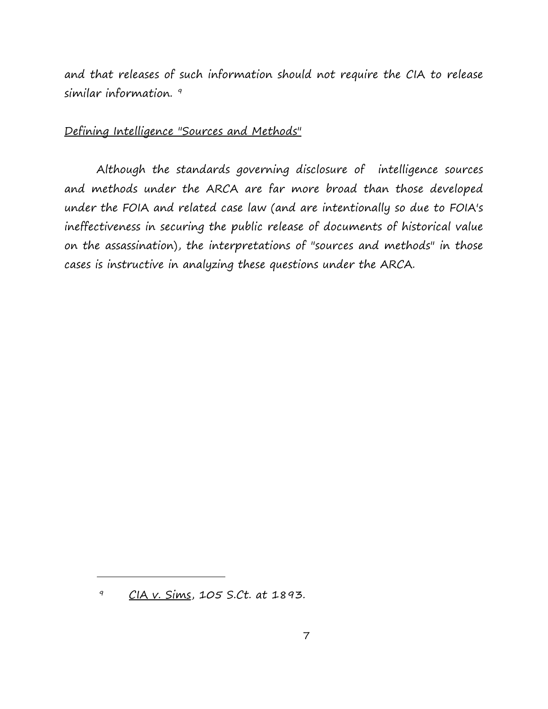and that releases of such information should not require the CIA to release similar information.<sup>[9](#page-6-0)</sup>

# Defining Intelligence "Sources and Methods"

Although the standards governing disclosure of intelligence sources and methods under the ARCA are far more broad than those developed under the FOIA and related case law (and are intentionally so due to FOIA's ineffectiveness in securing the public release of documents of historical value on the assassination), the interpretations of "sources and methods" in those cases is instructive in analyzing these questions under the ARCA.

<span id="page-6-0"></span> <sup>9</sup> CIA v. Sims, 105 S.Ct. at 1893.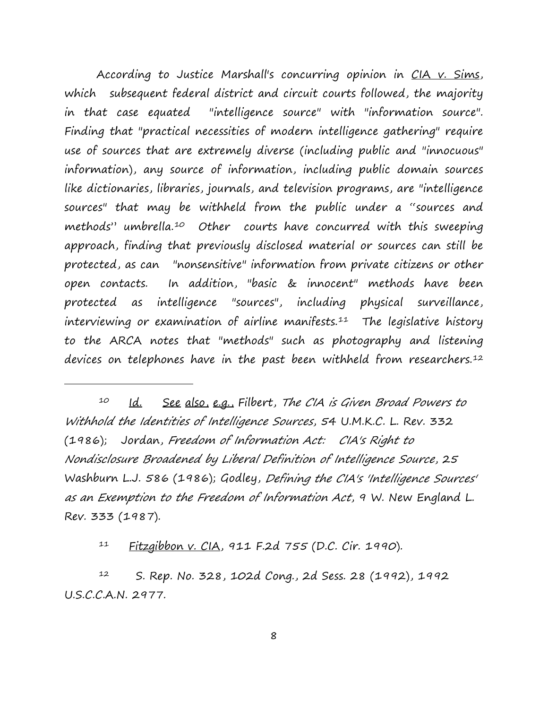According to Justice Marshall's concurring opinion in CIA v. Sims, which subsequent federal district and circuit courts followed, the majority in that case equated "intelligence source" with "information source". Finding that "practical necessities of modern intelligence gathering" require use of sources that are extremely diverse (including public and "innocuous" information), any source of information, including public domain sources like dictionaries, libraries, journals, and television programs, are "intelligence sources" that may be withheld from the public under a "sources and methods" umbrella.<sup>[10](#page-7-0)</sup> Other courts have concurred with this sweeping approach, finding that previously disclosed material or sources can still be protected, as can "nonsensitive" information from private citizens or other open contacts. In addition, "basic & innocent" methods have been protected as intelligence "sources", including physical surveillance, interviewing or examination of airline manifests.<sup>11</sup> The legislative history to the ARCA notes that "methods" such as photography and listening devices on telephones have in the past been withheld from researchers.<sup>12</sup>

<span id="page-7-0"></span><sup>10</sup> Id. See also, e.g., Filbert, The CIA is Given Broad Powers to Withhold the Identities of Intelligence Sources, 54 U.M.K.C. L. Rev. 332 (1986); Jordan, Freedom of Information Act: CIA's Right to Nondisclosure Broadened by Liberal Definition of Intelligence Source, 25 Washburn L.J. 586 (1986); Godley, Defining the CIA's 'Intelligence Sources' as an Exemption to the Freedom of Information Act, 9 W. New England L. Rev. 333 (1987).

11 Fitzgibbon v. CIA, 911 F.2d 755 (D.C. Cir. 1990).

i<br>I

<span id="page-7-2"></span><span id="page-7-1"></span> 12 S. Rep. No. 328, 102d Cong., 2d Sess. 28 (1992), 1992 U.S.C.C.A.N. 2977.

8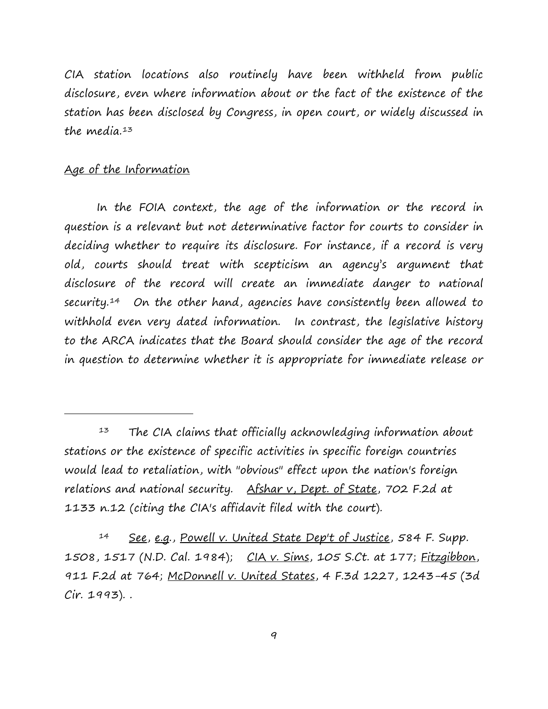CIA station locations also routinely have been withheld from public disclosure, even where information about or the fact of the existence of the station has been disclosed by Congress, in open court, or widely discussed in the media. $13$ 

### Age of the Information

i<br>I

In the FOIA context, the age of the information or the record in question is a relevant but not determinative factor for courts to consider in deciding whether to require its disclosure. For instance, if a record is very old, courts should treat with scepticism an agency's argument that disclosure of the record will create an immediate danger to national security.<sup>[14](#page-8-1)</sup> On the other hand, agencies have consistently been allowed to withhold even very dated information. In contrast, the legislative history to the ARCA indicates that the Board should consider the age of the record in question to determine whether it is appropriate for immediate release or

<span id="page-8-0"></span> $13$  The CIA claims that officially acknowledging information about stations or the existence of specific activities in specific foreign countries would lead to retaliation, with "obvious" effect upon the nation's foreign relations and national security. Afshar v, Dept. of State, 702 F.2d at 1133 n.12 (citing the CIA's affidavit filed with the court).

<span id="page-8-1"></span><sup>14</sup> See, e.g., Powell v. United State Dep't of Justice, 584 F. Supp. 1508, 1517 (N.D. Cal. 1984); CIA v. Sims, 105 S.Ct. at 177; Fitzgibbon, 911 F.2d at 764; McDonnell v. United States, 4 F.3d 1227, 1243-45 (3d Cir. 1993). .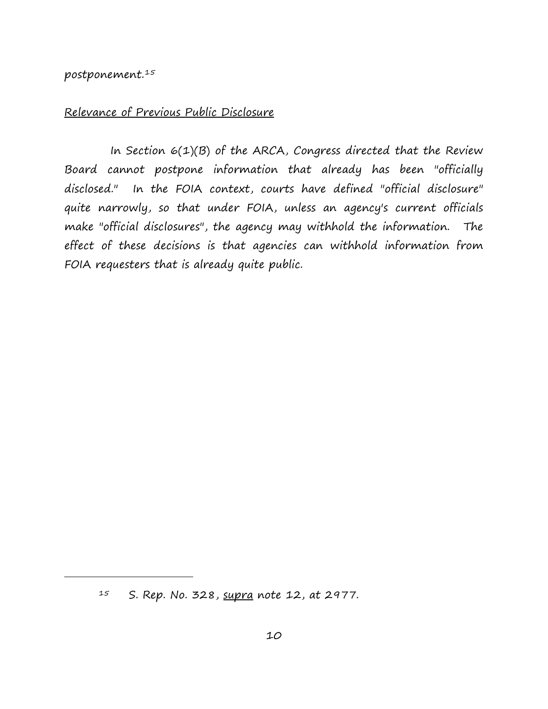#### postponement. [15](#page-9-0)

<span id="page-9-0"></span>i<br>I

## Relevance of Previous Public Disclosure

In Section  $6(1)(B)$  of the ARCA, Congress directed that the Review Board cannot postpone information that already has been "officially disclosed." In the FOIA context, courts have defined "official disclosure" quite narrowly, so that under FOIA, unless an agency's current officials make "official disclosures", the agency may withhold the information. The effect of these decisions is that agencies can withhold information from FOIA requesters that is already quite public.

 $15$  S. Rep. No. 328, supra note 12, at 2977.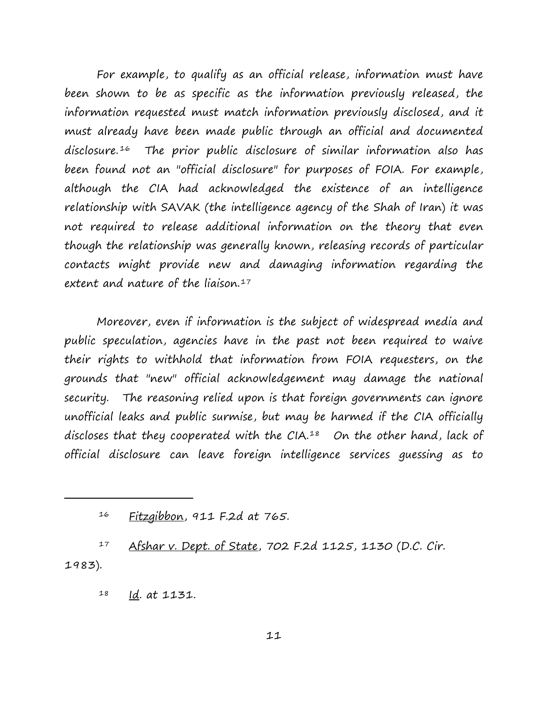For example, to qualify as an official release, information must have been shown to be as specific as the information previously released, the information requested must match information previously disclosed, and it must already have been made public through an official and documented disclosure. [16](#page-10-0) The prior public disclosure of similar information also has been found not an "official disclosure" for purposes of FOIA. For example, although the CIA had acknowledged the existence of an intelligence relationship with SAVAK (the intelligence agency of the Shah of Iran) it was not required to release additional information on the theory that even though the relationship was generally known, releasing records of particular contacts might provide new and damaging information regarding the extent and nature of the liaison. $17$ 

Moreover, even if information is the subject of widespread media and public speculation, agencies have in the past not been required to waive their rights to withhold that information from FOIA requesters, on the grounds that "new" official acknowledgement may damage the national security. The reasoning relied upon is that foreign governments can ignore unofficial leaks and public surmise, but may be harmed if the CIA officially discloses that they cooperated with the  $CIA.^{18}$  $CIA.^{18}$  $CIA.^{18}$  On the other hand, lack of official disclosure can leave foreign intelligence services guessing as to

<span id="page-10-2"></span><span id="page-10-1"></span><span id="page-10-0"></span>17 Afshar v. Dept. of State, 702 F.2d 1125, 1130 (D.C. Cir. 1983).

18 Id. at 1131.

 <sup>16</sup> Fitzgibbon, 911 F.2d at 765.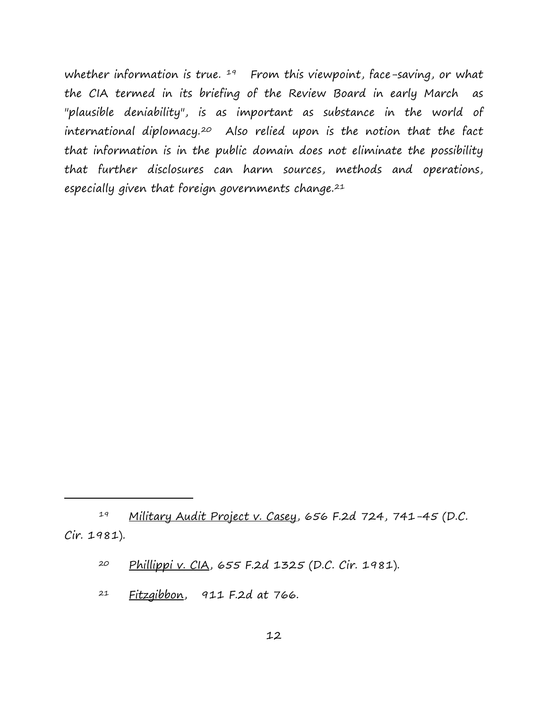whether information is true.  $19$  From this viewpoint, face-saving, or what the CIA termed in its briefing of the Review Board in early March as "plausible deniability", is as important as substance in the world of international diplomacy.<sup>[20](#page-11-1)</sup> Also relied upon is the notion that the fact that information is in the public domain does not eliminate the possibility that further disclosures can harm sources, methods and operations, especially given that foreign governments change.[21](#page-11-2)

 $21$  Fitzgibbon, 911 F.2d at 766.

<span id="page-11-2"></span><span id="page-11-1"></span><span id="page-11-0"></span><sup>19</sup> Military Audit Project v. Casey, 656 F.2d 724, 741-45 (D.C. Cir. 1981).

 <sup>20</sup> Phillippi v. CIA, 655 F.2d 1325 (D.C. Cir. 1981).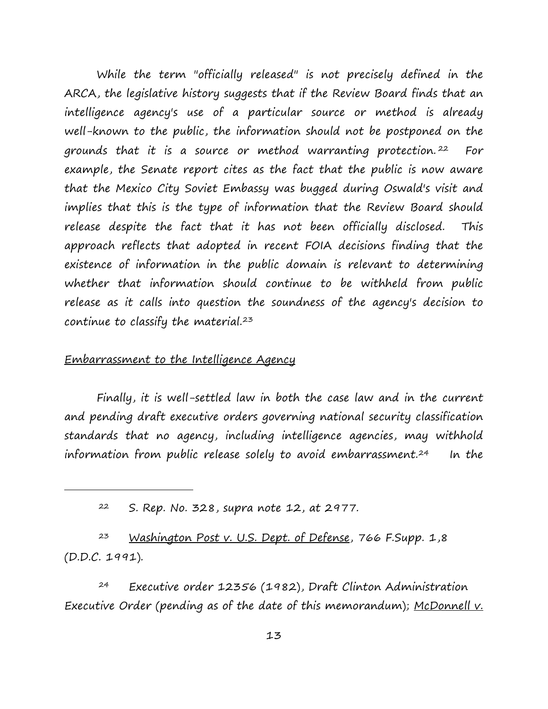While the term "officially released" is not precisely defined in the ARCA, the legislative history suggests that if the Review Board finds that an intelligence agency's use of a particular source or method is already well-known to the public, the information should not be postponed on the grounds that it is a source or method warranting protection. [22](#page-12-0) For example, the Senate report cites as the fact that the public is now aware that the Mexico City Soviet Embassy was bugged during Oswald's visit and implies that this is the type of information that the Review Board should release despite the fact that it has not been officially disclosed. This approach reflects that adopted in recent FOIA decisions finding that the existence of information in the public domain is relevant to determining whether that information should continue to be withheld from public release as it calls into question the soundness of the agency's decision to continue to classify the material.<sup>[23](#page-12-1)</sup>

#### Embarrassment to the Intelligence Agency

<span id="page-12-0"></span>i<br>I

Finally, it is well-settled law in both the case law and in the current and pending draft executive orders governing national security classification standards that no agency, including intelligence agencies, may withhold information from public release solely to avoid embarrassment.[24](#page-12-2) In the

<span id="page-12-1"></span>23 Washington Post v. U.S. Dept. of Defense, 766 F.Supp. 1,8 (D.D.C. 1991).

<span id="page-12-2"></span> 24 Executive order 12356 (1982), Draft Clinton Administration Executive Order (pending as of the date of this memorandum); McDonnell  $v$ .

 <sup>22</sup> S. Rep. No. 328, supra note 12, at 2977.